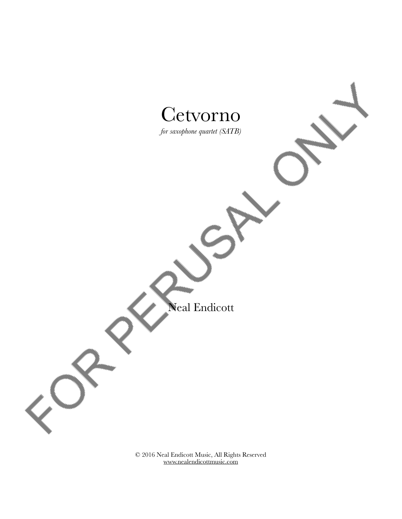

*for saxophone quartet (SATB)* 

Neal Endicott

© 2016 Neal Endicott Music, All Rights Reserved [www.nealendicottmusic.com](http://www.nealendicottmusic.com)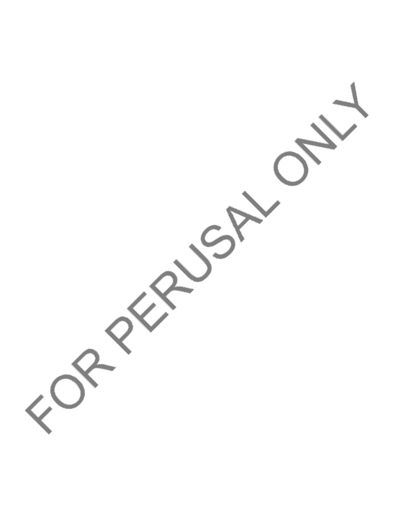FOR PERISAL ONLY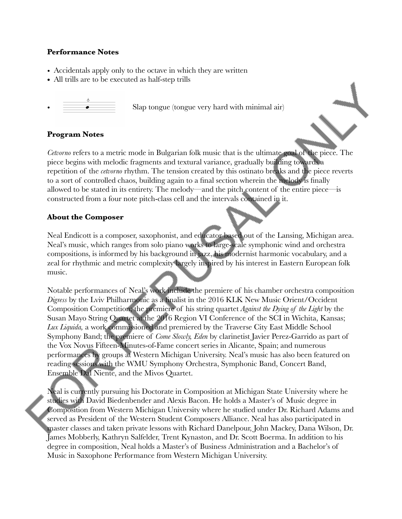## **Performance Notes**

- Accidentals apply only to the octave in which they are written
- **•** All trills are to be executed as half-step trills
- 

Slap tongue (tongue very hard with minimal air)

## **Program Notes**

*Cetvorno* refers to a metric mode in Bulgarian folk music that is the ultimate goal of the piece. The piece begins with melodic fragments and textural variance, gradually building towards a repetition of the *cetvorno* rhythm. The tension created by this ostinato breaks and the piece reverts to a sort of controlled chaos, building again to a final section wherein the melody is finally allowed to be stated in its entirety. The melody—and the pitch content of the entire piece—is constructed from a four note pitch-class cell and the intervals contained in it.

## **About the Composer**

Neal Endicott is a composer, saxophonist, and educator based out of the Lansing, Michigan area. Neal's music, which ranges from solo piano works to large-scale symphonic wind and orchestra compositions, is informed by his background in jazz, his modernist harmonic vocabulary, and a zeal for rhythmic and metric complexity largely inspired by his interest in Eastern European folk music.

Notable performances of Neal's work include the premiere of his chamber orchestra composition *Digress* by the Lviv Philharmonic as a finalist in the 2016 KLK New Music Orient/Occident Composition Competition; the premiere of his string quartet *Against the Dying of the Light* by the Susan Mayo String Quartet at the 2016 Region VI Conference of the SCI in Wichita, Kansas; *Lux Liquida,* a work commissioned and premiered by the Traverse City East Middle School Symphony Band; the premiere of *Come Slowly, Eden* by clarinetist Javier Perez-Garrido as part of the Vox Novus Fifteen-Minutes-of-Fame concert series in Alicante, Spain; and numerous performances by groups at Western Michigan University. Neal's music has also been featured on reading sessions with the WMU Symphony Orchestra, Symphonic Band, Concert Band, Ensemble Dal Niente, and the Mivos Quartet.

Neal is currently pursuing his Doctorate in Composition at Michigan State University where he studies with David Biedenbender and Alexis Bacon. He holds a Master's of Music degree in Composition from Western Michigan University where he studied under Dr. Richard Adams and served as President of the Western Student Composers Alliance. Neal has also participated in master classes and taken private lessons with Richard Danelpour, John Mackey, Dana Wilson, Dr. James Mobberly, Kathryn Salfelder, Trent Kynaston, and Dr. Scott Boerma. In addition to his degree in composition, Neal holds a Master's of Business Administration and a Bachelor's of Music in Saxophone Performance from Western Michigan University.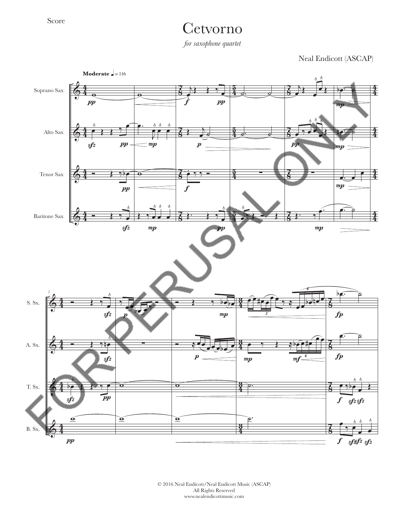## Score Cetvorno

*for saxophone quartet*

Neal Endicott (ASCAP)



© 2016 Neal Endicott/Neal Endicott Music (ASCAP) All Rights Reserved www.nealendicottmusic.com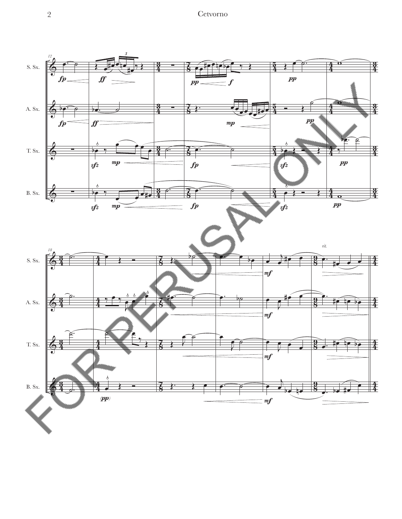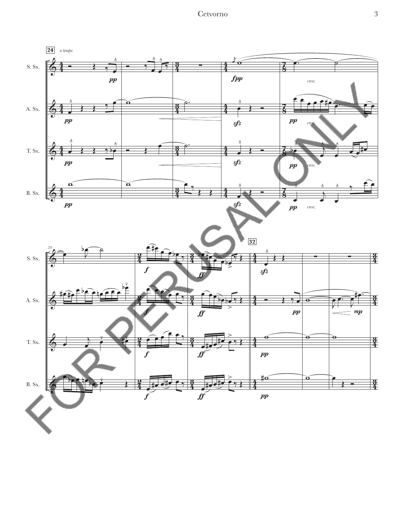![](_page_5_Figure_1.jpeg)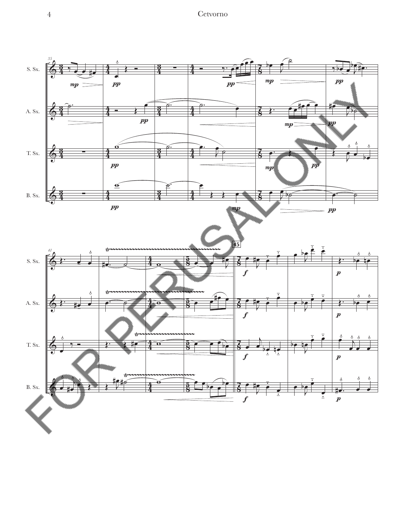![](_page_6_Figure_1.jpeg)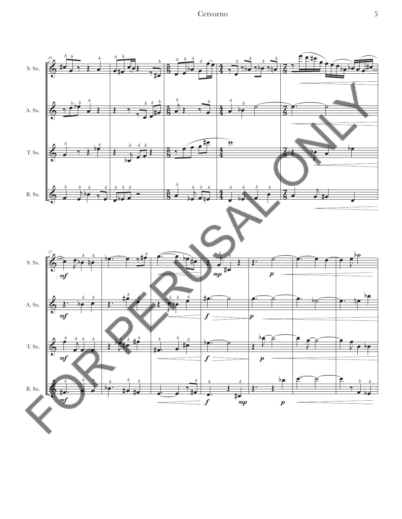![](_page_7_Figure_1.jpeg)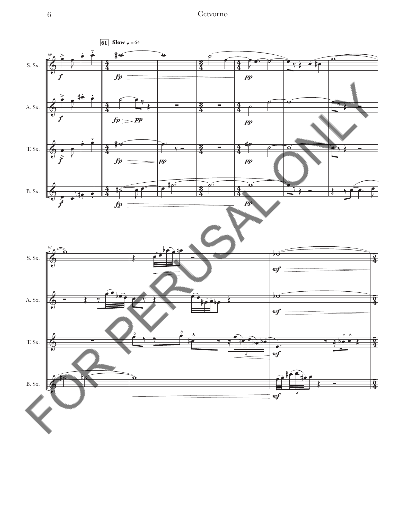![](_page_8_Figure_1.jpeg)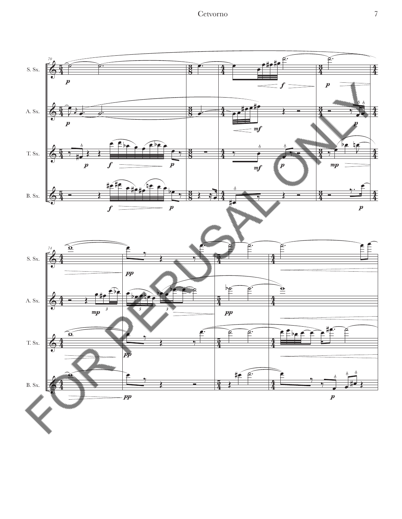![](_page_9_Figure_1.jpeg)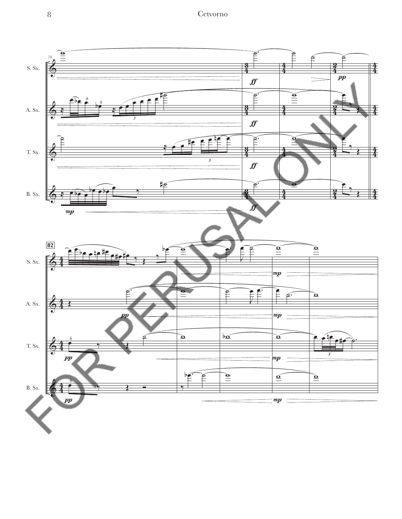![](_page_10_Figure_1.jpeg)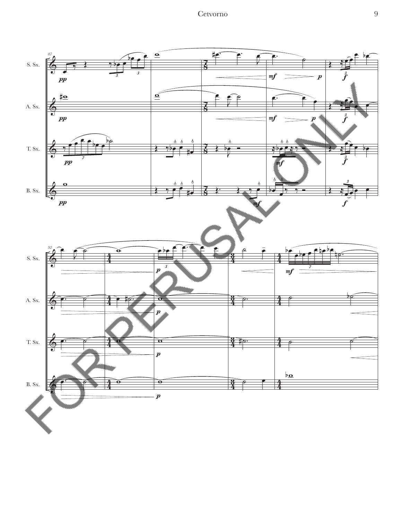![](_page_11_Figure_1.jpeg)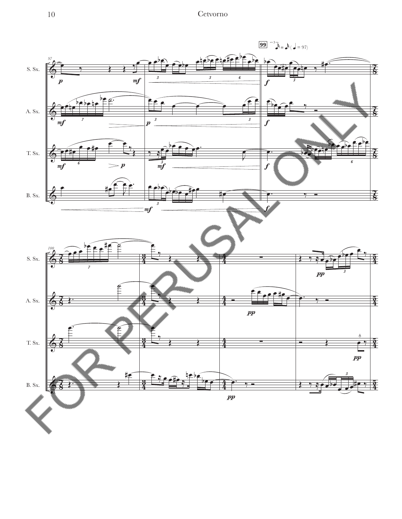![](_page_12_Figure_1.jpeg)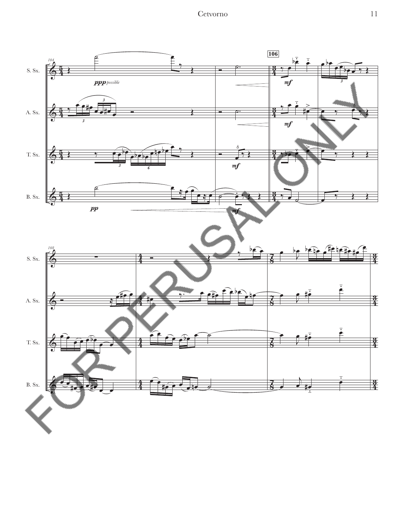![](_page_13_Figure_1.jpeg)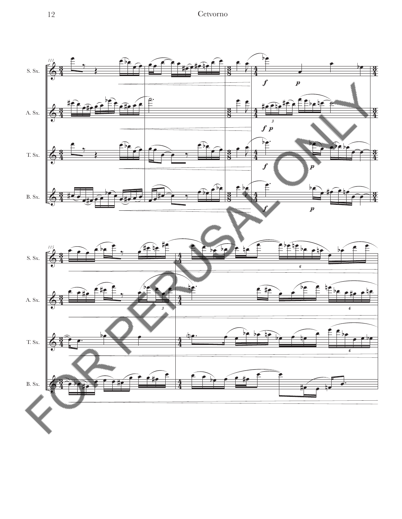![](_page_14_Figure_1.jpeg)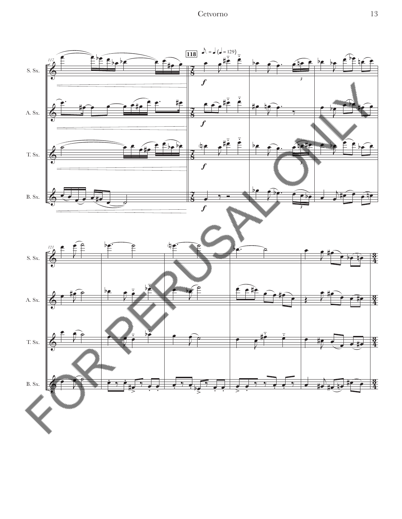![](_page_15_Figure_1.jpeg)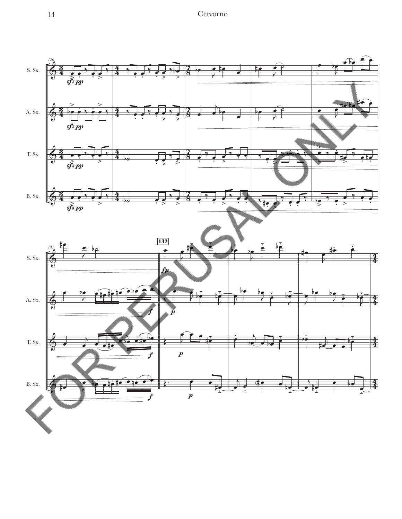![](_page_16_Figure_1.jpeg)

![](_page_16_Figure_2.jpeg)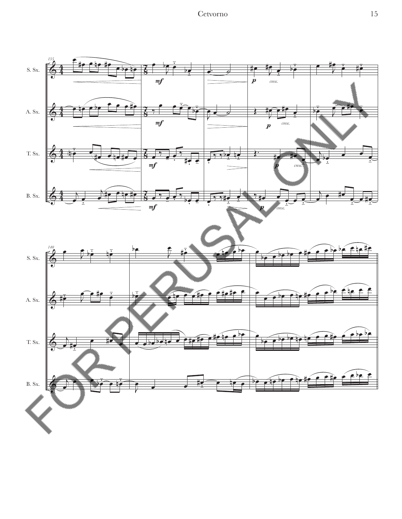![](_page_17_Figure_1.jpeg)

 $\bigcirc$ B. Sx. j <sup>œ</sup> <sup>œ</sup> <sup>œ</sup> bœ  $\overline{\cdot}$  e ie  $\frac{1}{2}$ J <sup>œ</sup> <sup>œ</sup> <sup>œ</sup> #œ  $\cdot$   $\cdot$   $\cdot$   $\cdot$  $b$ e e hebe e be e e hebe e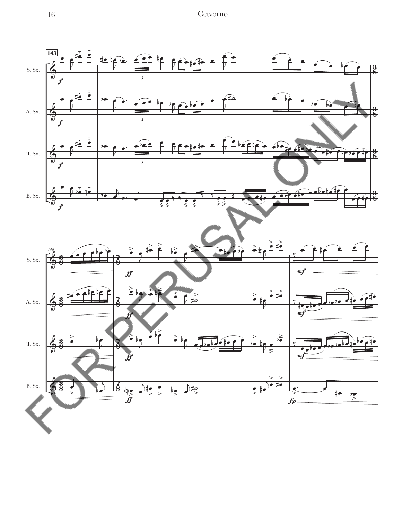![](_page_18_Figure_1.jpeg)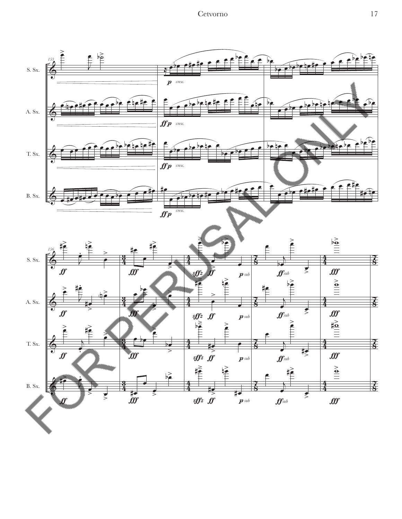![](_page_19_Figure_1.jpeg)

![](_page_19_Figure_2.jpeg)